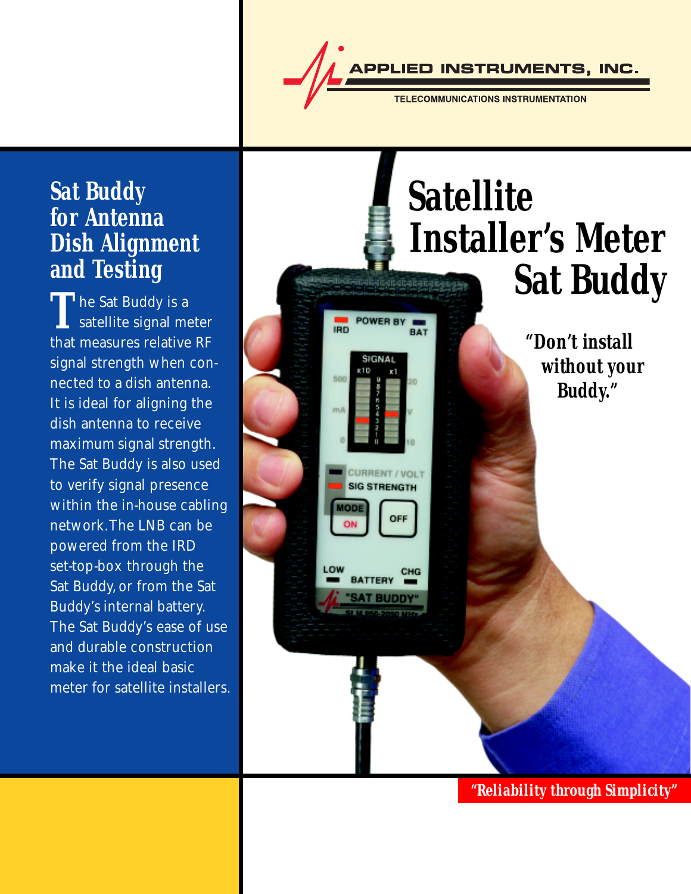PPLIED INSTRUMENTS, INC.

**TELECOMMUNICATIONS INSTRUMENTATION** 

### **Sat Buddy for Antenna Dish Alignment and Testing**

**T** he Sat Buddy is a satellite signal meter that measures relative RF signal strength when connected to a dish antenna. It is ideal for aligning the dish antenna to receive maximum signal strength. The Sat Buddy is also used to verify signal presence within the in-house cabling network. The LNB can be powered from the IRD set-top-box through the Sat Buddy, or from the Sat Buddy's internal battery. The Sat Buddy's ease of use and durable construction make it the ideal basic meter for satellite installers.

## **Satellite Installer's Meter Sat Buddy** POWER BY **IRD** BAT  **"Don't install** SIGNAL  **without your BDC Buddy."** m A **SIG STRENGTH NODE** OFF ON

*"Reliability through Simplicity"*